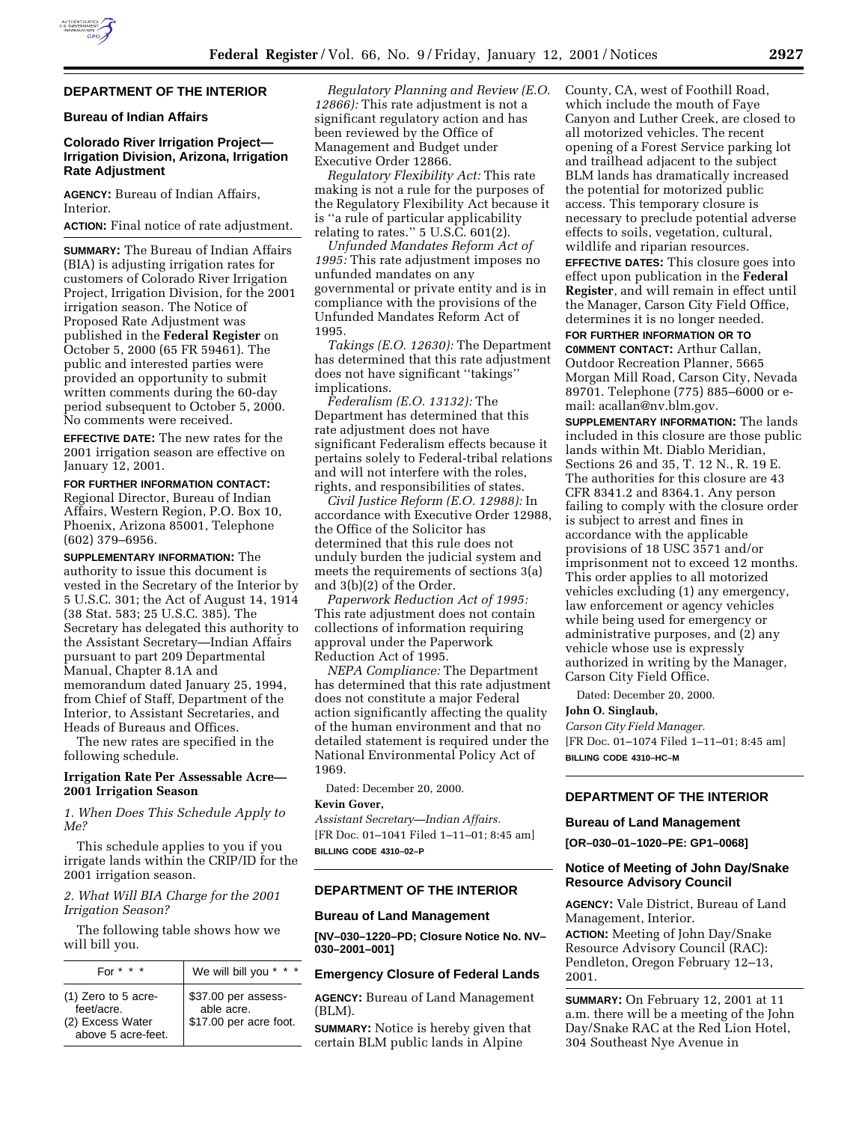

# **DEPARTMENT OF THE INTERIOR**

## **Bureau of Indian Affairs**

## **Colorado River Irrigation Project— Irrigation Division, Arizona, Irrigation Rate Adjustment**

**AGENCY:** Bureau of Indian Affairs, Interior.

## **ACTION:** Final notice of rate adjustment.

**SUMMARY:** The Bureau of Indian Affairs (BIA) is adjusting irrigation rates for customers of Colorado River Irrigation Project, Irrigation Division, for the 2001 irrigation season. The Notice of Proposed Rate Adjustment was published in the **Federal Register** on October 5, 2000 (65 FR 59461). The public and interested parties were provided an opportunity to submit written comments during the 60-day period subsequent to October 5, 2000. No comments were received.

**EFFECTIVE DATE:** The new rates for the 2001 irrigation season are effective on January 12, 2001.

## **FOR FURTHER INFORMATION CONTACT:**

Regional Director, Bureau of Indian Affairs, Western Region, P.O. Box 10, Phoenix, Arizona 85001, Telephone (602) 379–6956.

**SUPPLEMENTARY INFORMATION:** The authority to issue this document is vested in the Secretary of the Interior by 5 U.S.C. 301; the Act of August 14, 1914 (38 Stat. 583; 25 U.S.C. 385). The Secretary has delegated this authority to the Assistant Secretary—Indian Affairs pursuant to part 209 Departmental Manual, Chapter 8.1A and memorandum dated January 25, 1994, from Chief of Staff, Department of the Interior, to Assistant Secretaries, and Heads of Bureaus and Offices.

The new rates are specified in the following schedule.

# **Irrigation Rate Per Assessable Acre— 2001 Irrigation Season**

*1. When Does This Schedule Apply to Me?*

This schedule applies to you if you irrigate lands within the CRIP/ID for the 2001 irrigation season.

*2. What Will BIA Charge for the 2001 Irrigation Season?*

The following table shows how we will bill you.

| For $* * * *$                                                                 | We will bill you * * *                                      |
|-------------------------------------------------------------------------------|-------------------------------------------------------------|
| $(1)$ Zero to 5 acre-<br>feet/acre.<br>(2) Excess Water<br>above 5 acre-feet. | \$37.00 per assess-<br>able acre.<br>\$17.00 per acre foot. |

*Regulatory Planning and Review (E.O. 12866):* This rate adjustment is not a significant regulatory action and has been reviewed by the Office of Management and Budget under Executive Order 12866.

*Regulatory Flexibility Act:* This rate making is not a rule for the purposes of the Regulatory Flexibility Act because it is ''a rule of particular applicability relating to rates.'' 5 U.S.C. 601(2).

*Unfunded Mandates Reform Act of 1995:* This rate adjustment imposes no unfunded mandates on any governmental or private entity and is in compliance with the provisions of the Unfunded Mandates Reform Act of 1995.

*Takings (E.O. 12630):* The Department has determined that this rate adjustment does not have significant ''takings'' implications.

*Federalism (E.O. 13132):* The Department has determined that this rate adjustment does not have significant Federalism effects because it pertains solely to Federal-tribal relations and will not interfere with the roles, rights, and responsibilities of states.

*Civil Justice Reform (E.O. 12988):* In accordance with Executive Order 12988, the Office of the Solicitor has determined that this rule does not unduly burden the judicial system and meets the requirements of sections 3(a) and 3(b)(2) of the Order.

*Paperwork Reduction Act of 1995:* This rate adjustment does not contain collections of information requiring approval under the Paperwork Reduction Act of 1995.

*NEPA Compliance:* The Department has determined that this rate adjustment does not constitute a major Federal action significantly affecting the quality of the human environment and that no detailed statement is required under the National Environmental Policy Act of 1969.

Dated: December 20, 2000.

## **Kevin Gover,**

*Assistant Secretary—Indian Affairs.* [FR Doc. 01–1041 Filed 1–11–01; 8:45 am] **BILLING CODE 4310–02–P**

#### **DEPARTMENT OF THE INTERIOR**

## **Bureau of Land Management**

**[NV–030–1220–PD; Closure Notice No. NV– 030–2001–001]**

#### **Emergency Closure of Federal Lands**

**AGENCY:** Bureau of Land Management (BLM).

**SUMMARY:** Notice is hereby given that certain BLM public lands in Alpine

County, CA, west of Foothill Road, which include the mouth of Faye Canyon and Luther Creek, are closed to all motorized vehicles. The recent opening of a Forest Service parking lot and trailhead adjacent to the subject BLM lands has dramatically increased the potential for motorized public access. This temporary closure is necessary to preclude potential adverse effects to soils, vegetation, cultural, wildlife and riparian resources.

**EFFECTIVE DATES:** This closure goes into effect upon publication in the **Federal Register**, and will remain in effect until the Manager, Carson City Field Office, determines it is no longer needed.

# **FOR FURTHER INFORMATION OR TO**

**C0MMENT CONTACT:** Arthur Callan, Outdoor Recreation Planner, 5665 Morgan Mill Road, Carson City, Nevada 89701. Telephone (775) 885–6000 or email: acallan@nv.blm.gov.

**SUPPLEMENTARY INFORMATION:** The lands included in this closure are those public lands within Mt. Diablo Meridian, Sections 26 and 35, T. 12 N., R. 19 E. The authorities for this closure are 43 CFR 8341.2 and 8364.1. Any person failing to comply with the closure order is subject to arrest and fines in accordance with the applicable provisions of 18 USC 3571 and/or imprisonment not to exceed 12 months. This order applies to all motorized vehicles excluding (1) any emergency, law enforcement or agency vehicles while being used for emergency or administrative purposes, and (2) any vehicle whose use is expressly authorized in writing by the Manager, Carson City Field Office.

Dated: December 20, 2000.

#### **John O. Singlaub,**

*Carson City Field Manager.* [FR Doc. 01–1074 Filed 1–11–01; 8:45 am] **BILLING CODE 4310–HC–M**

# **DEPARTMENT OF THE INTERIOR**

#### **Bureau of Land Management**

**[OR–030–01–1020–PE: GP1–0068]**

## **Notice of Meeting of John Day/Snake Resource Advisory Council**

**AGENCY:** Vale District, Bureau of Land Management, Interior. **ACTION:** Meeting of John Day/Snake

Resource Advisory Council (RAC): Pendleton, Oregon February 12–13, 2001.

**SUMMARY:** On February 12, 2001 at 11 a.m. there will be a meeting of the John Day/Snake RAC at the Red Lion Hotel, 304 Southeast Nye Avenue in